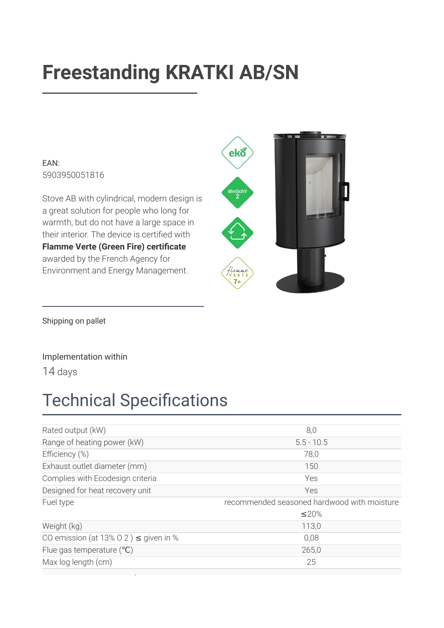# **Freestanding KRATKI AB/SN**

EAN: 5903950051816

Stove AB with cylindrical, modern design is a great solution for people who long for warmth, but do not have a large space in their interior. The device is certified with Flamme Verte (Green Fire) certificate awarded by the French Agency for Environment and Energy Management.



Shipping on pallet

#### Implementation within

14 days

### **Technical Specifications**

| Rated output (kW)                          | 8,0                                         |
|--------------------------------------------|---------------------------------------------|
| Range of heating power (kW)                | $5.5 - 10.5$                                |
| Efficiency (%)                             | 78,0                                        |
| Exhaust outlet diameter (mm)               | 150                                         |
| Complies with Ecodesign criteria           | Yes                                         |
| Designed for heat recovery unit            | Yes                                         |
| Fuel type                                  | recommended seasoned hardwood with moisture |
|                                            | $\leq$ 20%                                  |
| Weight (kg)                                | 113,0                                       |
| CO emission (at 13% O 2) $\leq$ given in % | 0,08                                        |
| Flue gas temperature $(^{\circ}C)$         | 265,0                                       |
| Max log length (cm)                        | 25                                          |
|                                            |                                             |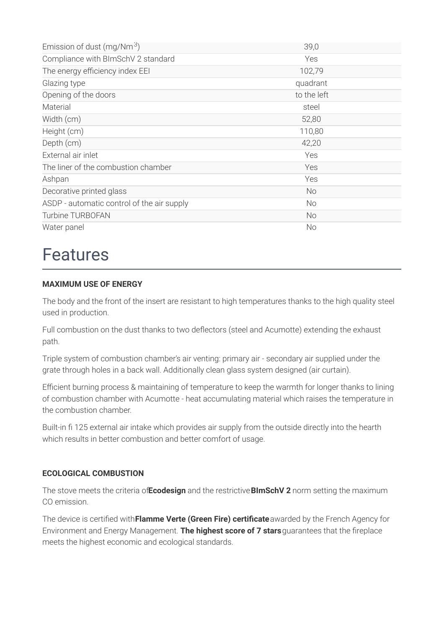| Emission of dust (mg/Nm $3$ )              | 39,0        |
|--------------------------------------------|-------------|
| Compliance with BImSchV 2 standard         | Yes         |
| The energy efficiency index EEI            | 102,79      |
| Glazing type                               | quadrant    |
| Opening of the doors                       | to the left |
| Material                                   | steel       |
| Width (cm)                                 | 52,80       |
| Height (cm)                                | 110,80      |
| Depth (cm)                                 | 42,20       |
| External air inlet                         | Yes         |
| The liner of the combustion chamber        | Yes         |
| Ashpan                                     | Yes         |
| Decorative printed glass                   | No          |
| ASDP - automatic control of the air supply | No          |
| <b>Turbine TURBOFAN</b>                    | No          |
| Water panel                                | No          |

### **Features**

#### **MAXIMUM USE OF ENERGY**

The body and the front of the insert are resistant to high temperatures thanks to the high quality steel used in production.

Full combustion on the dust thanks to two deflectors (steel and Acumotte) extending the exhaust path.

Triple system of combustion chamber's air venting: primary air - secondary air supplied under the grate through holes in a back wall. Additionally clean glass system designed (air curtain).

Efficient burning process & maintaining of temperature to keep the warmth for longer thanks to lining of combustion chamber with Acumotte - heat accumulating material which raises the temperature in the combustion chamber.

Built-in fi 125 external air intake which provides air supply from the outside directly into the hearth which results in better combustion and better comfort of usage.

#### **ECOLOGICAL COMBUSTION**

The stove meets the criteria of Ecodesign and the restrictive BImSchV 2 norm setting the maximum CO emission.

The device is certified with Flamme Verte (Green Fire) certificate awarded by the French Agency for Environment and Energy Management. The highest score of 7 stars guarantees that the fireplace meets the highest economic and ecological standards.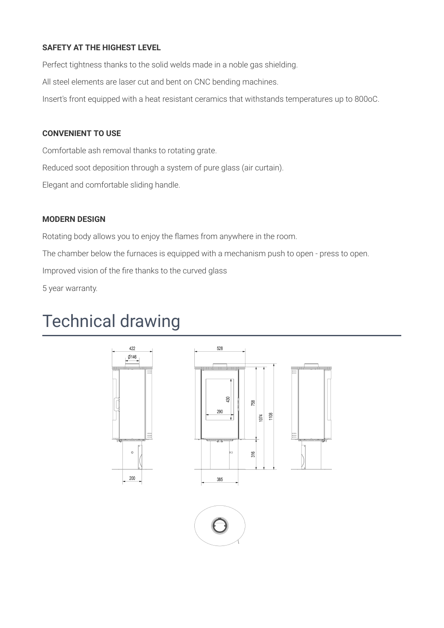#### **SAFETY AT THE HIGHEST LEVEL**

Perfect tightness thanks to the solid welds made in a noble gas shielding.

All steel elements are laser cut and bent on CNC bending machines.

Insert's front equipped with a heat resistant ceramics that withstands temperatures up to 800oC.

#### **CONVENIENT TO USE**

Comfortable ash removal thanks to rotating grate. Reduced soot deposition through a system of pure glass (air curtain).

Elegant and comfortable sliding handle.

#### **MODERN DESIGN**

Rotating body allows you to enjoy the flames from anywhere in the room. The chamber below the furnaces is equipped with a mechanism push to open - press to open. Improved vision of the fire thanks to the curved glass 5 year warranty.

### **Technical drawing**

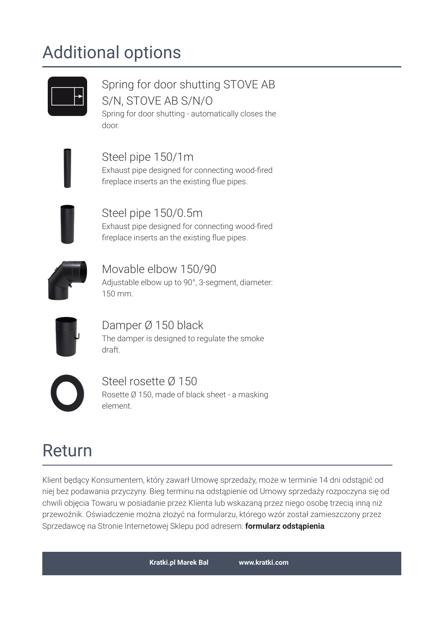## **Additional options**

### Spring for door shutting STOVE AB S/N. STOVE AB S/N/O

Spring for door shutting - automatically closes the door.

Steel pipe 150/1m Exhaust pipe designed for connecting wood-fired fireplace inserts an the existing flue pipes.

Steel pipe 150/0.5m Exhaust pipe designed for connecting wood-fired fireplace inserts an the existing flue pipes.



Movable elbow 150/90 Adjustable elbow up to 90°, 3-segment, diameter: 150 mm.



Damper Ø 150 black The damper is designed to regulate the smoke draft



Steel rosette Ø 150 Rosette Ø 150, made of black sheet - a masking element.

## Return

Klient będący Konsumentem, który zawarł Umowę sprzedaży, może w terminie 14 dni odstąpić od niej bez podawania przyczyny. Bieg terminu na odstąpienie od Umowy sprzedaży rozpoczyna się od chwili objęcia Towaru w posiadanie przez Klienta lub wskazaną przez niego osobę trzecią inną niż przewoźnik. Oświadczenie można złożyć na formularzu, którego wzór został zamieszczony przez Sprzedawcę na Stronie Internetowej Sklepu pod adresem: formularz odstąpienia.

**Kratki.pl Marek Bal** 

www.kratki.com